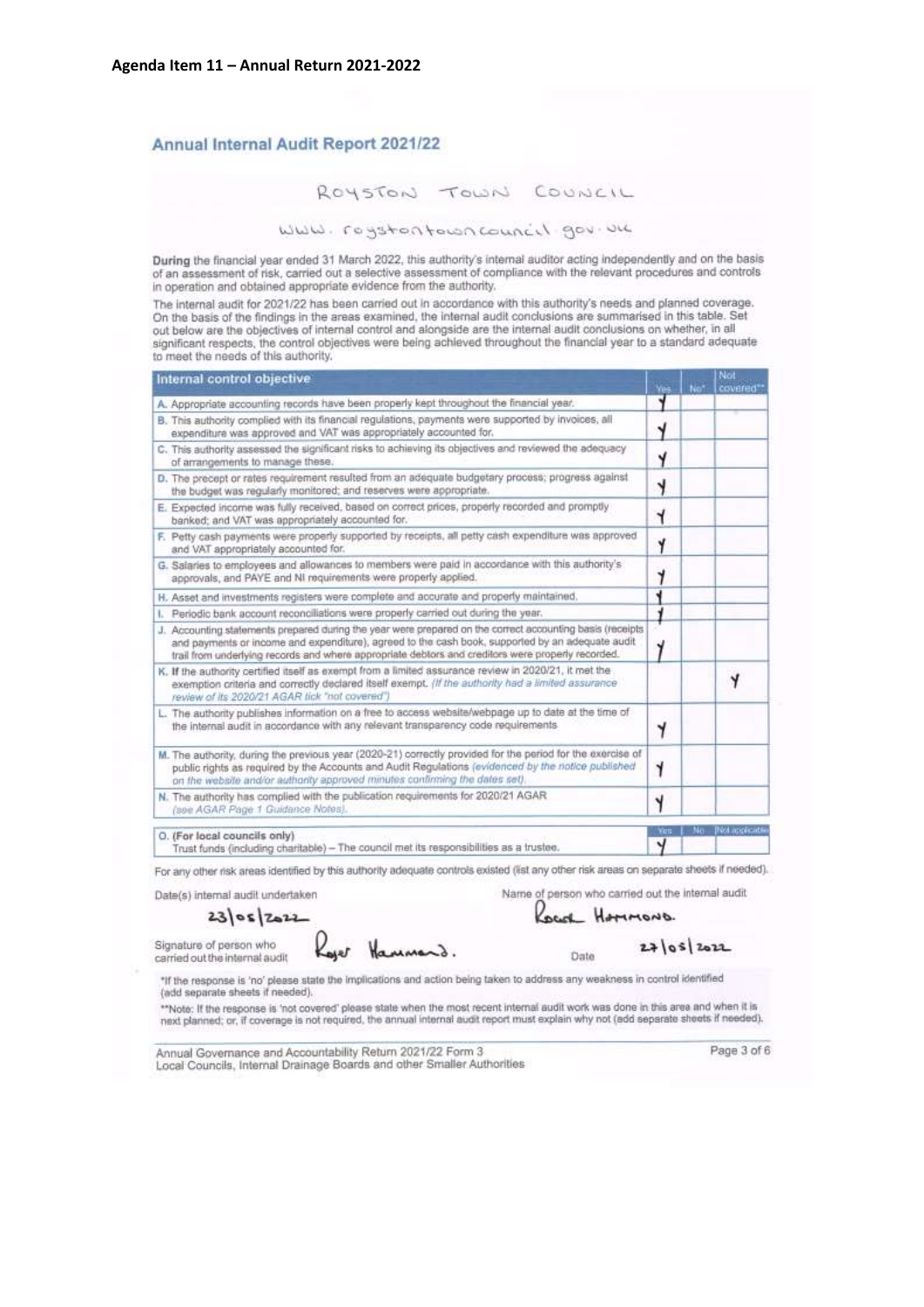#### Annual Internal Audit Report 2021/22

WWW. rogstontowncouncil gov.un

During the financial year ended 31 March 2022, this authority's internal auditor acting independently and on the basis<br>of an assessment of risk, carried out a selective assessment of compliance with the relevant procedures in operation and obtained appropriate evidence from the authority.

The internal audit for 2021/22 has been carried out in accordance with this authority's needs and planned coverage. On the basis of the findings in the areas examined, the internal audit conclusions are summarised in this table. Set out below are the objectives of internal control and alongside are the internal audit conclusions on whether, in all significant respects, the control objectives were being achieved throughout the financial year to a standard adequate to meet the needs of this authority.

| Internal control objective                                                                                                                                                                                                                                                                                         | Vos  | Not | Not<br>covered**       |
|--------------------------------------------------------------------------------------------------------------------------------------------------------------------------------------------------------------------------------------------------------------------------------------------------------------------|------|-----|------------------------|
| A. Appropriate accounting records have been properly kept throughout the financial year.                                                                                                                                                                                                                           |      |     |                        |
| B. This authority complied with its financial regulations, payments were supported by invoices, all<br>expenditure was approved and VAT was appropriately accounted for.                                                                                                                                           |      |     |                        |
| C. This authority assessed the significant risks to achieving its objectives and reviewed the adequacy<br>of arrangements to manage these.                                                                                                                                                                         | Y    |     |                        |
| D. The precept or rates requirement resulted from an adequate budgetary process; progress against<br>the budget was regularly monitored; and reserves were appropriate.                                                                                                                                            | 4    |     |                        |
| E. Expected income was fully received, based on correct prices, properly recorded and promptly<br>banked; and VAT was appropriately accounted for.                                                                                                                                                                 | Y    |     |                        |
| F. Petty cash payments were properly supported by receipts, all petty cash expenditure was approved.<br>and VAT appropriately accounted for.                                                                                                                                                                       | Y    |     |                        |
| G. Salaries to employees and allowances to members were paid in accordance with this authority's<br>approvals, and PAYE and NI requirements were properly applied.                                                                                                                                                 | y    |     |                        |
| H. Asset and investments registers were complete and accurate and properly maintained.                                                                                                                                                                                                                             |      |     |                        |
| Periodic bank account reconciliations were properly carried out during the year.<br>U                                                                                                                                                                                                                              |      |     |                        |
| J. Accounting statements prepared during the year were prepared on the correct accounting basis (receipts<br>and payments or income and expenditure), agreed to the cash book, supported by an adequate audit<br>trail from underlying records and where appropriate debtors and creditors were properly recorded. |      |     |                        |
| K. If the authority certified itself as exempt from a limited assurance review in 2020/21, it met the<br>exemption criteria and correctly declared itself exempt. (If the authority had a limited assurance<br>review of its 2020/21 AGAR fick "not covered")                                                      |      |     |                        |
| L. The authority publishes information on a free to access website/webpage up to date at the time of<br>the internal audit in accordance with any relevant transparency code requirements                                                                                                                          | 4    |     |                        |
| M. The authority, during the previous year (2020-21) correctly provided for the period for the exercise of<br>public rights as required by the Accounts and Audit Regulations (evidenced by the notice published<br>on the website and/or authority approved minutes confirming the dates set).                    |      |     |                        |
| N. The authority has complied with the publication requirements for 2020/21 AGAR<br>(see AGAR Page 1 Guidance Notes).                                                                                                                                                                                              | Y    |     |                        |
| O. (For local councils only)                                                                                                                                                                                                                                                                                       | Wes. |     | - No - Dick applicable |
| Trust funds (including charitable) - The council met its responsibilities as a trustee.                                                                                                                                                                                                                            | ч    |     |                        |

For any other risk areas identified by this authority adequate controls existed (list any other risk areas on separate sheets if needed).

Name of person who carried out the internal audit Date(s) internal audit undertaken

 $2365$ zozz

Signature of person who carried out the internal audit

Hammerd.

Date

Local Hammons.

 $27|05|2022$ 

\*If the response is 'no' please state the implications and action being taken to address any weakness in control identified (add separate sheets if needed).

\*\*Note: If the response is 'not covered' please state when the most recent internal audit work was done in this area and when it is next planned; or, if coverage is not required, the annual internal audit report must explain why not (edd separate sheets if needed).

Annual Governance and Accountability Return 2021/22 Form 3 Local Councils, Internal Drainage Boards and other Smaller Authorities Page 3 of 6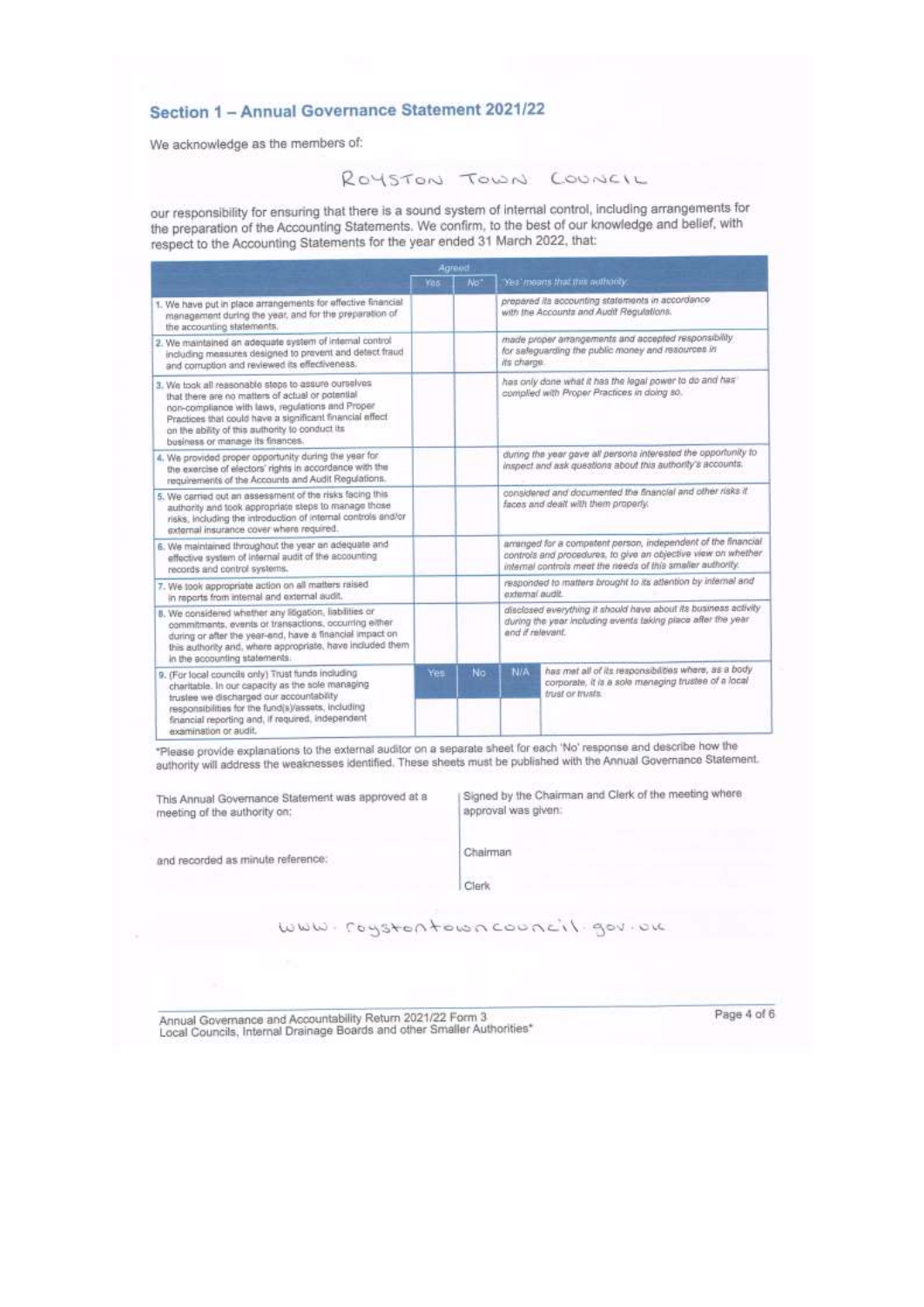#### Section 1 - Annual Governance Statement 2021/22

We acknowledge as the members of:

#### ROYSTON TOWN COUNCIL

our responsibility for ensuring that there is a sound system of internal control, including arrangements for the preparation of the Accounting Statements. We confirm, to the best of our knowledge and belief, with respect to the Accounting Statements for the year ended 31 March 2022, that:

|                                                                                                                                                                                                                                                                                                                 | Agraed     |     |                                                                                                                                                     |                                                                                                                                                                                                |
|-----------------------------------------------------------------------------------------------------------------------------------------------------------------------------------------------------------------------------------------------------------------------------------------------------------------|------------|-----|-----------------------------------------------------------------------------------------------------------------------------------------------------|------------------------------------------------------------------------------------------------------------------------------------------------------------------------------------------------|
|                                                                                                                                                                                                                                                                                                                 | <b>Yos</b> | No. |                                                                                                                                                     | Yes' means that this authority.                                                                                                                                                                |
| 1. We have put in place arrangements for effective financial<br>management during the year, and for the preparation of<br>the accounting statements.                                                                                                                                                            |            |     |                                                                                                                                                     | prepared its accounting statements in accordance<br>with the Accounts and Audit Regulations.                                                                                                   |
| 2. We maintained an adequate system of internal control<br>including measures designed to prevent and detect fraud<br>and comuption and reviewed its effectiveness.                                                                                                                                             |            |     | its charge.                                                                                                                                         | made proper arrangements and accepted responsibility<br>for safeguarding the public money and resources in                                                                                     |
| 3. We took all reasonable steps to assure ourselves.<br>that there are no matters of actual or potential<br>non-compliance with laws, regulations and Proper<br>Practices that could have a significant financial effect<br>on the ability of this authority to conduct its<br>business or manage its finances. |            |     |                                                                                                                                                     | has only done what it has the legal power to do and has<br>complied with Proper Practices in doing so.                                                                                         |
| 4. We provided proper opportunity during the year for<br>the exercise of electors' rights in accordance with the<br>requirements of the Accounts and Audit Regulations.                                                                                                                                         |            |     |                                                                                                                                                     | during the year gave all persons interested the opportunity to<br>inspect and ask questions about this authority's accounts.                                                                   |
| 5. We carried out an assessment of the risks facing this<br>authority and took appropriate steps to manage those<br>risks, including the introduction of internal controls and/or<br>external insurance cover where required.                                                                                   |            |     |                                                                                                                                                     | considered and documented the financial and other risks if<br>faces and dealt with them properly.                                                                                              |
| 6. We maintained throughout the year an adequate and<br>effective system of internal audit of the accounting<br>records and control systems.                                                                                                                                                                    |            |     |                                                                                                                                                     | arranged for a competent person, independent of the financial<br>controls and procedures, to give an objective view on whether.<br>internal controls meet the needs of this smaller authority. |
| 7. We took appropriate action on all matters raised<br>in reports from internal and external audit.                                                                                                                                                                                                             |            |     | responded to matters brought to its attention by internal and<br>external audit.                                                                    |                                                                                                                                                                                                |
| 8. We considered whether any litigation, liabilities or<br>commitments, events or transactions, occurring either<br>during or after the year-end, have a financial impact on<br>this authority and, where appropriate, have included them<br>in the accounting statements.                                      |            |     | disclosed everything it should have about its business activity<br>during the year including events taking place after the year<br>and if relevant. |                                                                                                                                                                                                |
| 9. (For local councils only) Trust funds including<br>charitable. In our capacity as the sole managing<br>trustee we discharged our accountability<br>responsibilities for the fund(s)/assets, including<br>financial reporting and, if required, independent<br>examination or audit.                          | Yes.       | No  | N/A                                                                                                                                                 | has met all of its responsibilities where, as a body<br>corporate, it is a sole managing trustee of a local<br>trust or trusts.                                                                |

\*Please provide explanations to the external auditor on a separate sheet for each 'No' response and describe how the authority will address the weaknesses identified. These sheets must be published with the Annual Governance Statement.

This Annual Governance Statement was approved at a meeting of the authority on:

Signed by the Chairman and Clerk of the meeting where approval was given:

and recorded as minute reference:

Chairman Clerk

www.roystontowncouncil.gov.ou

Annual Governance and Accountability Return 2021/22 Form 3<br>Local Councils, Internal Drainage Boards and other Smaller Authorities\*

Page 4 of 6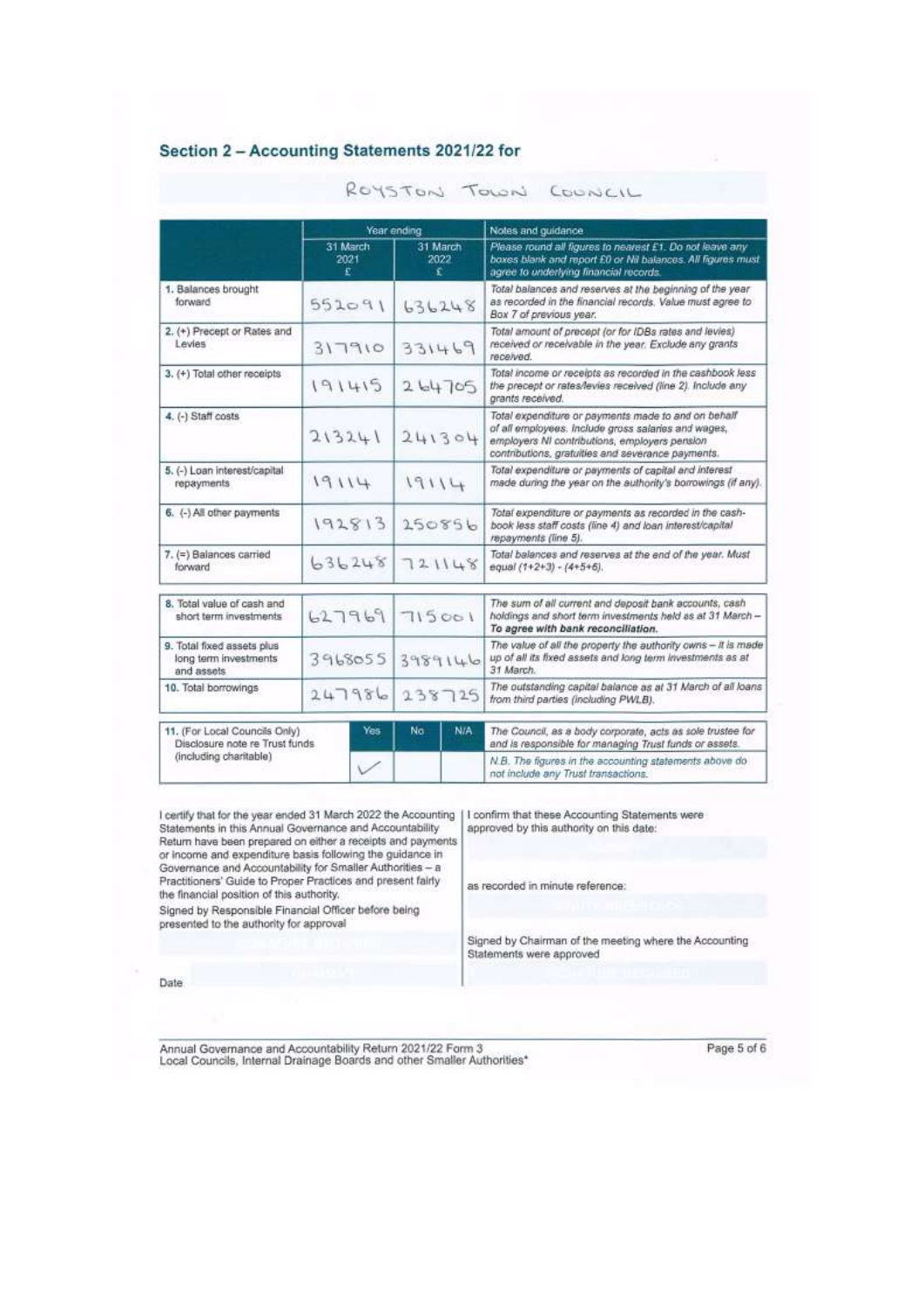#### Section 2 - Accounting Statements 2021/22 for

|                                                                        | Year ending           |                       | Notes and guidance                                                                                                                                                                                               |  |  |
|------------------------------------------------------------------------|-----------------------|-----------------------|------------------------------------------------------------------------------------------------------------------------------------------------------------------------------------------------------------------|--|--|
|                                                                        | 31 March<br>2021<br>£ | 31 March<br>2022<br>£ | Please round all figures to nearest E1. Do not leave any<br>boxes blank and report £0 or Nil balances. All figures must<br>agree to underlying financial records.                                                |  |  |
| 1. Balances brought<br>forward                                         | 552091                | 636248                | Total balances and reserves at the beginning of the year<br>as recorded in the financial records. Value must agree to<br>Box 7 of previous year.                                                                 |  |  |
| 2. (+) Precept or Rates and<br>Levies                                  | 317910                | 331469                | Total amount of precept (or for IDBs rates and levies)<br>received or receivable in the year. Exclude any grants<br>received.                                                                                    |  |  |
| 3. (+) Total other receipts                                            | 191415                | 264705                | Total income or receipts as recorded in the cashbook less<br>the precept or rates/levies received (line 2). Include any<br>grants received.                                                                      |  |  |
| 4. (-) Staff costs                                                     | 213241                | 241304                | Total expenditure or payments made to and on behalf<br>of all employees. Include gross salaries and wages,<br>employers NI contributions, employers pension<br>contributions, gratuities and severance payments. |  |  |
| 5. (-) Loan interest/capital<br>repayments                             | 19114                 | 19114                 | Total expenditure or payments of capital and interest<br>made during the year on the authority's borrowings (if any).                                                                                            |  |  |
| 6. (-) All other payments                                              | 192813                | 150856                | Total expenditure or payments as recorded in the cash-<br>book less staff costs (line 4) and loan interest/capital<br>repayments (line 5).                                                                       |  |  |
| 7. (=) Balances carried<br>forward                                     | 636248                | 721148                | Total balances and reserves at the end of the year. Must<br>equal (1+2+3) - (4+5+6).                                                                                                                             |  |  |
| 8. Total value of cash and<br>short term investments.                  | 627969                | 715001                | The sum of all current and deposit bank accounts, cash<br>holdings and short term investments held as at 31 March -<br>To agree with bank reconciliation.                                                        |  |  |
| 9. Total fixed assets plus<br>long term investments<br>and assets      | 3968055<br>3989146    |                       | The value of all the property the authority owns $-$ it is made<br>up of all its fixed assets and long term investments as at<br>31 March.                                                                       |  |  |
| 10. Total borrowings                                                   | 247986                | 238725                | The outstanding capital balance as at 31 March of all loans<br>from third parties (including PWLB).                                                                                                              |  |  |
| 11. (For Local Councils Only)<br>Yes<br>Disclosure note re Trust funds |                       | N/A<br>No             | The Council, as a body corporate, acts as sole trustee for<br>and is responsible for managing Trust funds or assets.                                                                                             |  |  |
| (including charitable)                                                 | $\vee$                |                       | N.B. The figures in the accounting statements above do<br>not include any Trust transactions.                                                                                                                    |  |  |

ROYSTON TOWN COUNCIL

I certify that for the year ended 31 March 2022 the Accounting Statements in this Annual Governance and Accountability Return have been prepared on either a receipts and payments or income and expenditure basis following the guidance in Governance and Accountability for Smaller Authorities - a Practitioners' Guide to Proper Practices and present fairly the financial position of this authority.

Signed by Responsible Financial Officer before being presented to the authority for approval

|                                          |  |  | confirm that these Accounting Statements were |  |
|------------------------------------------|--|--|-----------------------------------------------|--|
| approved by this authority on this date: |  |  |                                               |  |

as recorded in minute reference:

Signed by Chairman of the meeting where the Accounting Statements were approved

Date

Annual Governance and Accountability Return 2021/22 Form 3<br>Local Councils, Internal Drainage Boards and other Smaller Authorities\*

Page 5 of 6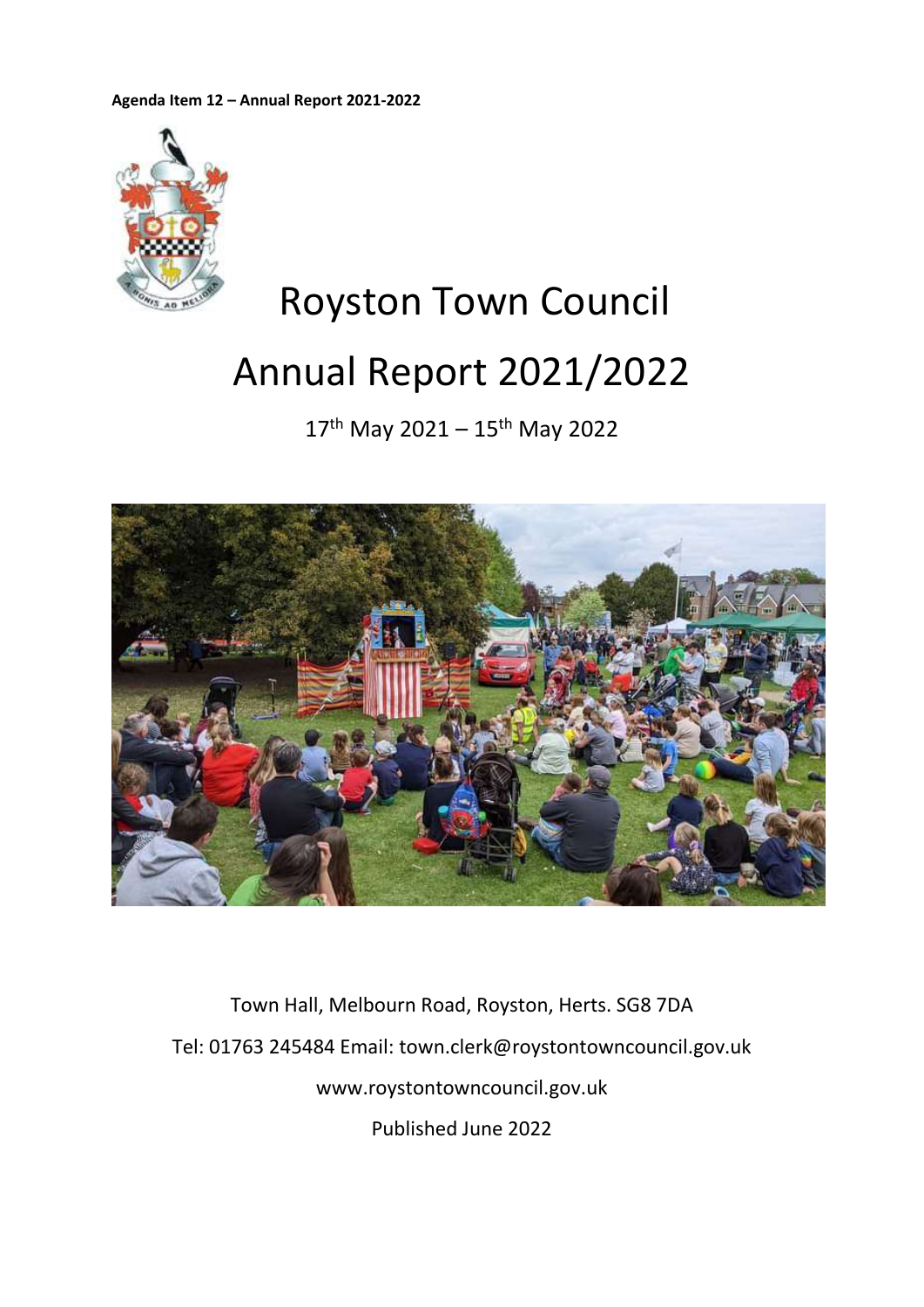**Agenda Item 12 – Annual Report 2021-2022**



# Royston Town Council Annual Report 2021/2022

17th May 2021 – 15th May 2022



Town Hall, Melbourn Road, Royston, Herts. SG8 7DA Tel: 01763 245484 Email: town.clerk@roystontowncouncil.gov.uk www.roystontowncouncil.gov.uk Published June 2022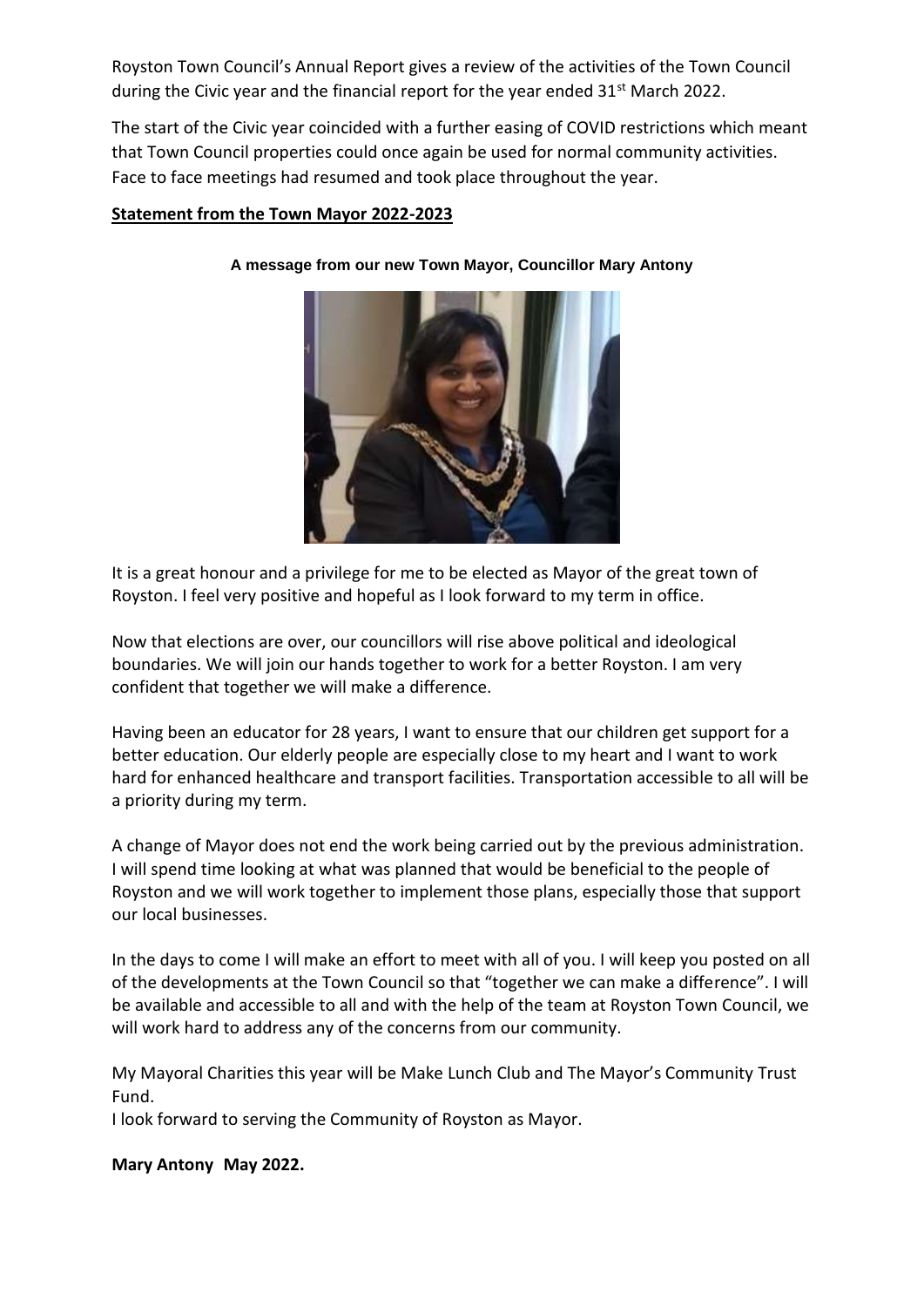Royston Town Council's Annual Report gives a review of the activities of the Town Council during the Civic year and the financial report for the year ended 31<sup>st</sup> March 2022.

The start of the Civic year coincided with a further easing of COVID restrictions which meant that Town Council properties could once again be used for normal community activities. Face to face meetings had resumed and took place throughout the year.

# **Statement from the Town Mayor 2022-2023**



**A message from our new Town Mayor, Councillor Mary Antony**

It is a great honour and a privilege for me to be elected as Mayor of the great town of Royston. I feel very positive and hopeful as I look forward to my term in office.

Now that elections are over, our councillors will rise above political and ideological boundaries. We will join our hands together to work for a better Royston. I am very confident that together we will make a difference.

Having been an educator for 28 years, I want to ensure that our children get support for a better education. Our elderly people are especially close to my heart and I want to work hard for enhanced healthcare and transport facilities. Transportation accessible to all will be a priority during my term.

A change of Mayor does not end the work being carried out by the previous administration. I will spend time looking at what was planned that would be beneficial to the people of Royston and we will work together to implement those plans, especially those that support our local businesses.

In the days to come I will make an effort to meet with all of you. I will keep you posted on all of the developments at the Town Council so that "together we can make a difference". I will be available and accessible to all and with the help of the team at Royston Town Council, we will work hard to address any of the concerns from our community.

My Mayoral Charities this year will be Make Lunch Club and The Mayor's Community Trust Fund.

I look forward to serving the Community of Royston as Mayor.

**Mary Antony May 2022.**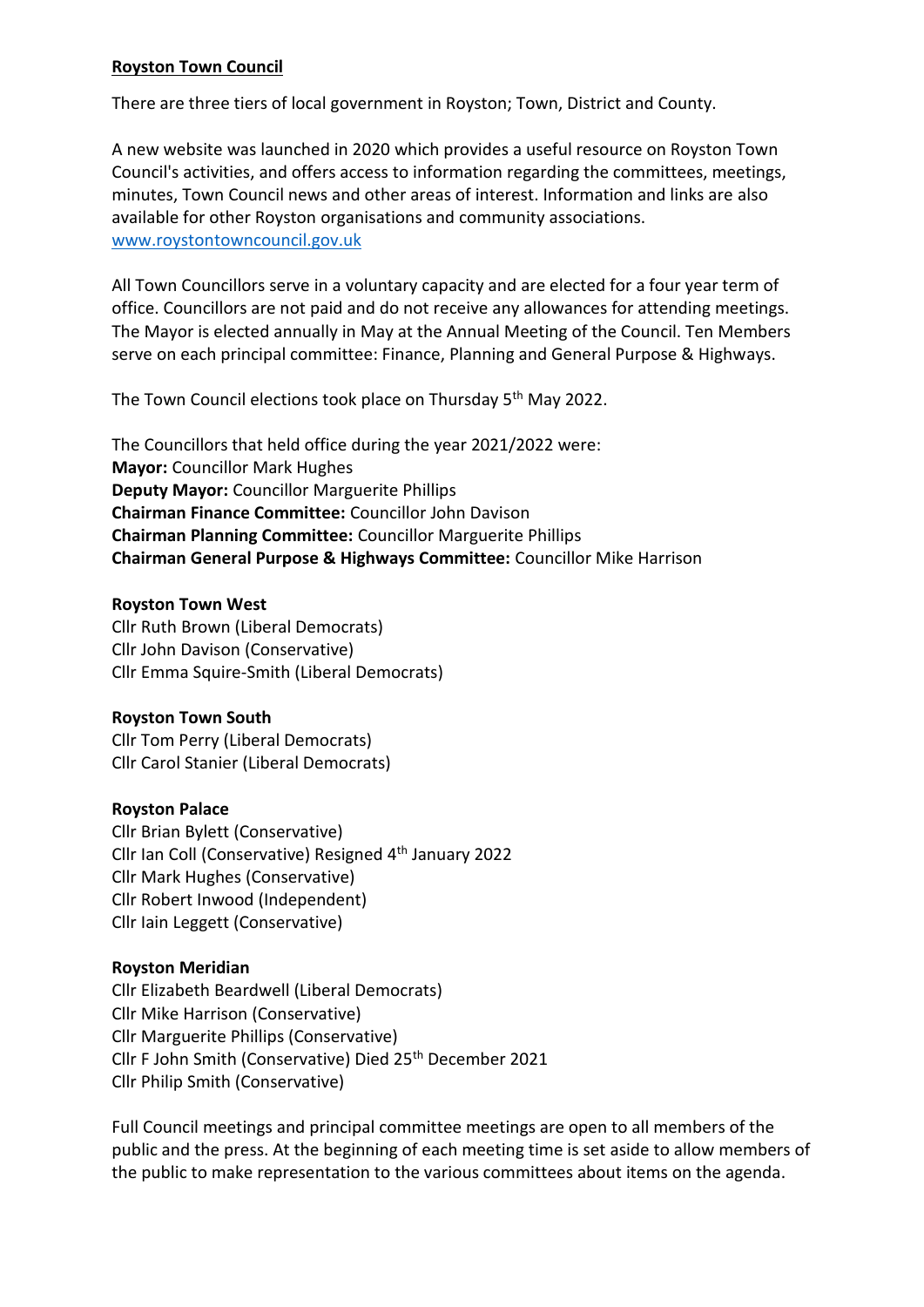# **Royston Town Council**

There are three tiers of local government in Royston; Town, District and County.

A new website was launched in 2020 which provides a useful resource on Royston Town Council's activities, and offers access to information regarding the committees, meetings, minutes, Town Council news and other areas of interest. Information and links are also available for other Royston organisations and community associations. [www.roystontowncouncil.gov.uk](http://www.roystontowncouncil.gov.uk/) 

All Town Councillors serve in a voluntary capacity and are elected for a four year term of office. Councillors are not paid and do not receive any allowances for attending meetings. The Mayor is elected annually in May at the Annual Meeting of the Council. Ten Members serve on each principal committee: Finance, Planning and General Purpose & Highways.

The Town Council elections took place on Thursday 5<sup>th</sup> May 2022.

The Councillors that held office during the year 2021/2022 were: **Mayor:** Councillor Mark Hughes **Deputy Mayor:** Councillor Marguerite Phillips **Chairman Finance Committee:** Councillor John Davison **Chairman Planning Committee:** Councillor Marguerite Phillips **Chairman General Purpose & Highways Committee:** Councillor Mike Harrison

#### **Royston Town West**

Cllr Ruth Brown (Liberal Democrats) Cllr John Davison (Conservative) Cllr Emma Squire-Smith (Liberal Democrats)

#### **Royston Town South**

Cllr Tom Perry (Liberal Democrats) Cllr Carol Stanier (Liberal Democrats)

#### **Royston Palace**

Cllr Brian Bylett (Conservative) Cllr Ian Coll (Conservative) Resigned 4th January 2022 Cllr Mark Hughes (Conservative) Cllr Robert Inwood (Independent) Cllr Iain Leggett (Conservative)

#### **Royston Meridian**

Cllr Elizabeth Beardwell (Liberal Democrats) Cllr Mike Harrison (Conservative) Cllr Marguerite Phillips (Conservative) Cllr F John Smith (Conservative) Died 25<sup>th</sup> December 2021 Cllr Philip Smith (Conservative)

Full Council meetings and principal committee meetings are open to all members of the public and the press. At the beginning of each meeting time is set aside to allow members of the public to make representation to the various committees about items on the agenda.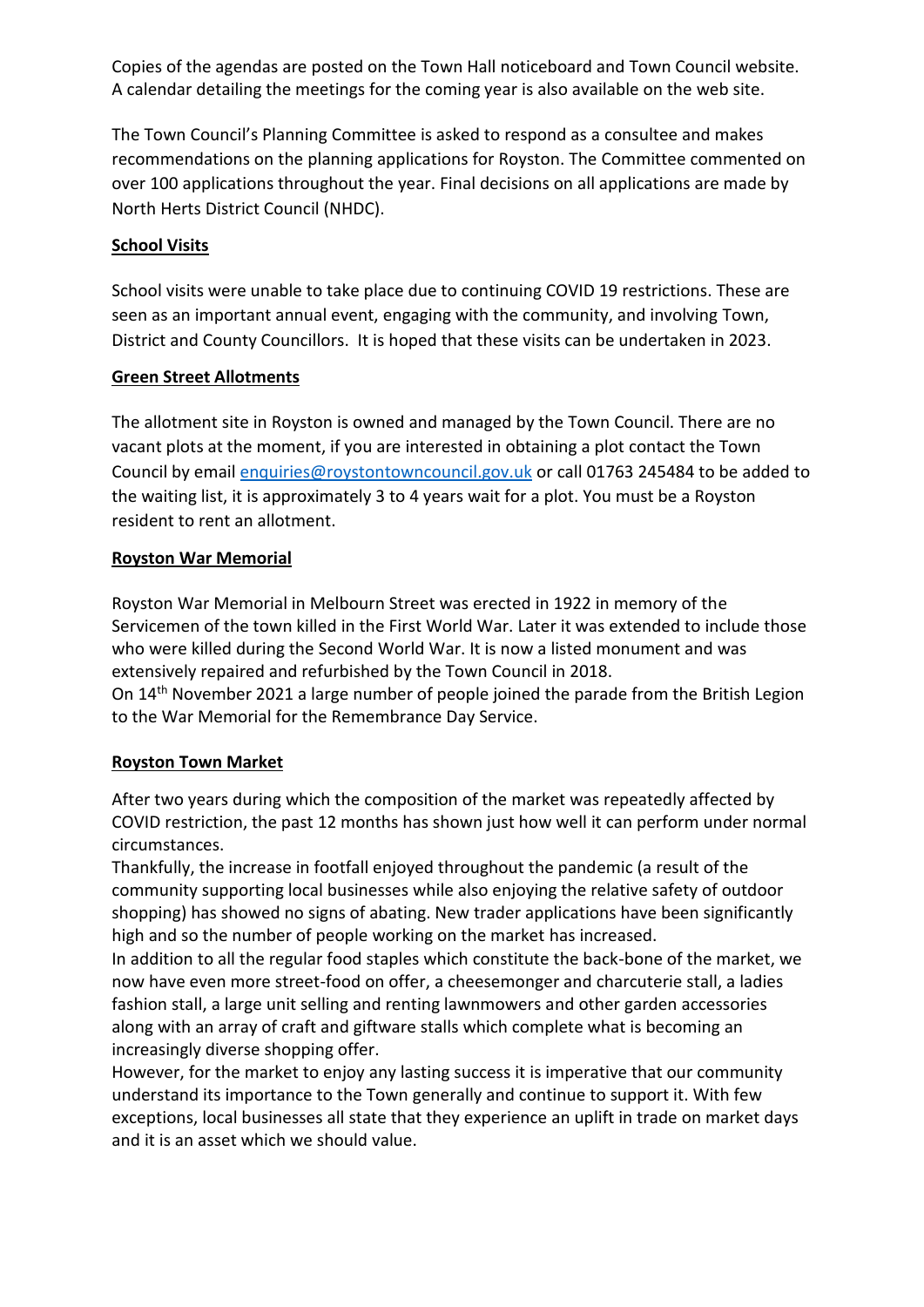Copies of the agendas are posted on the Town Hall noticeboard and Town Council website. A calendar detailing the meetings for the coming year is also available on the web site.

The Town Council's Planning Committee is asked to respond as a consultee and makes recommendations on the planning applications for Royston. The Committee commented on over 100 applications throughout the year. Final decisions on all applications are made by North Herts District Council (NHDC).

# **School Visits**

School visits were unable to take place due to continuing COVID 19 restrictions. These are seen as an important annual event, engaging with the community, and involving Town, District and County Councillors. It is hoped that these visits can be undertaken in 2023.

# **Green Street Allotments**

The allotment site in Royston is owned and managed by the Town Council. There are no vacant plots at the moment, if you are interested in obtaining a plot contact the Town Council by emai[l enquiries@roystontowncouncil.gov.uk](mailto:enquiries@roystontowncouncil.gov.uk) or call 01763 245484 to be added to the waiting list, it is approximately 3 to 4 years wait for a plot. You must be a Royston resident to rent an allotment.

## **Royston War Memorial**

Royston War Memorial in Melbourn Street was erected in 1922 in memory of the Servicemen of the town killed in the First World War. Later it was extended to include those who were killed during the Second World War. It is now a listed monument and was extensively repaired and refurbished by the Town Council in 2018.

On 14th November 2021 a large number of people joined the parade from the British Legion to the War Memorial for the Remembrance Day Service.

# **Royston Town Market**

After two years during which the composition of the market was repeatedly affected by COVID restriction, the past 12 months has shown just how well it can perform under normal circumstances.

Thankfully, the increase in footfall enjoyed throughout the pandemic (a result of the community supporting local businesses while also enjoying the relative safety of outdoor shopping) has showed no signs of abating. New trader applications have been significantly high and so the number of people working on the market has increased.

In addition to all the regular food staples which constitute the back-bone of the market, we now have even more street-food on offer, a cheesemonger and charcuterie stall, a ladies fashion stall, a large unit selling and renting lawnmowers and other garden accessories along with an array of craft and giftware stalls which complete what is becoming an increasingly diverse shopping offer.

However, for the market to enjoy any lasting success it is imperative that our community understand its importance to the Town generally and continue to support it. With few exceptions, local businesses all state that they experience an uplift in trade on market days and it is an asset which we should value.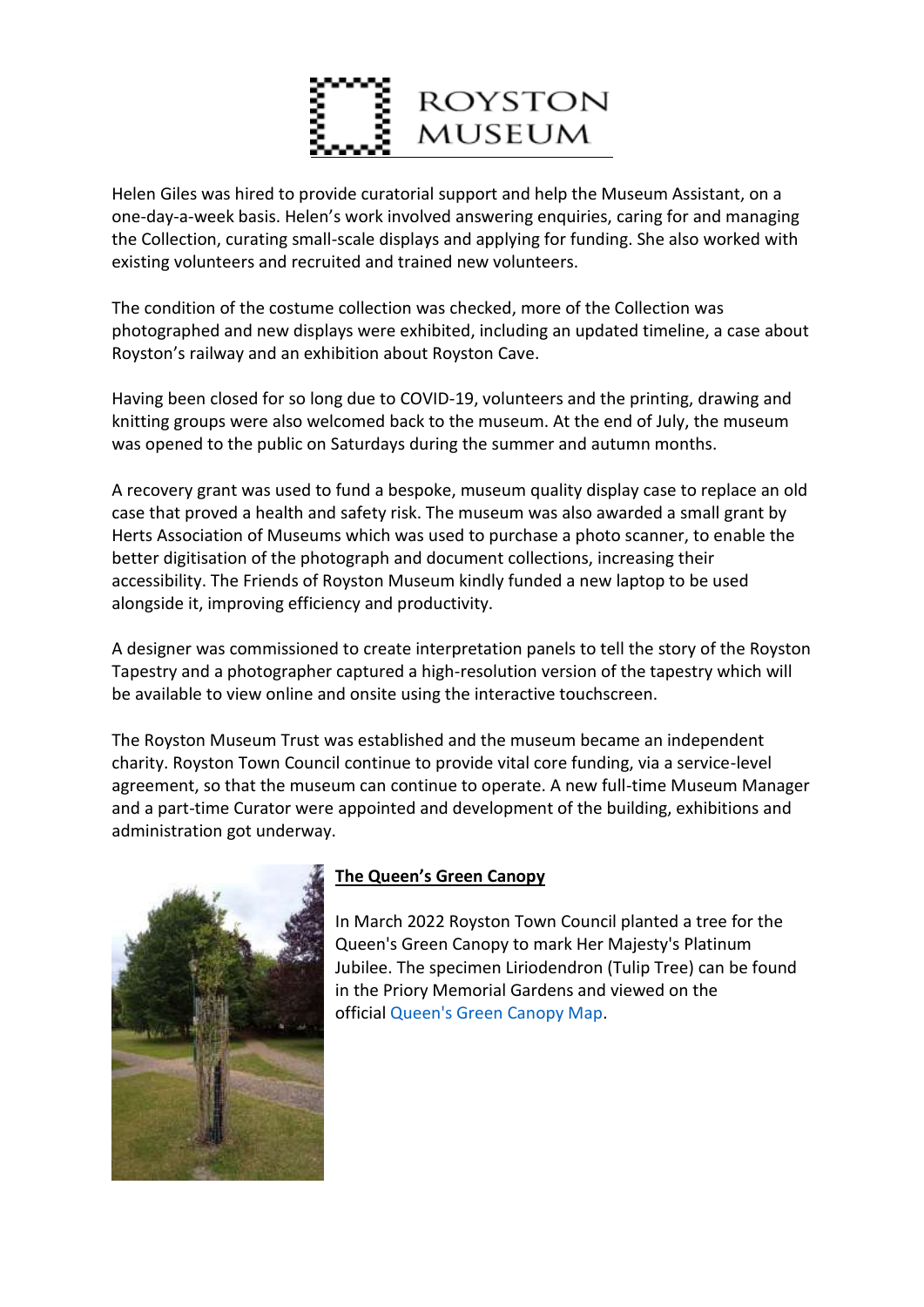

Helen Giles was hired to provide curatorial support and help the Museum Assistant, on a one-day-a-week basis. Helen's work involved answering enquiries, caring for and managing the Collection, curating small-scale displays and applying for funding. She also worked with existing volunteers and recruited and trained new volunteers.

The condition of the costume collection was checked, more of the Collection was photographed and new displays were exhibited, including an updated timeline, a case about Royston's railway and an exhibition about Royston Cave.

Having been closed for so long due to COVID-19, volunteers and the printing, drawing and knitting groups were also welcomed back to the museum. At the end of July, the museum was opened to the public on Saturdays during the summer and autumn months.

A recovery grant was used to fund a bespoke, museum quality display case to replace an old case that proved a health and safety risk. The museum was also awarded a small grant by Herts Association of Museums which was used to purchase a photo scanner, to enable the better digitisation of the photograph and document collections, increasing their accessibility. The Friends of Royston Museum kindly funded a new laptop to be used alongside it, improving efficiency and productivity.

A designer was commissioned to create interpretation panels to tell the story of the Royston Tapestry and a photographer captured a high-resolution version of the tapestry which will be available to view online and onsite using the interactive touchscreen.

The Royston Museum Trust was established and the museum became an independent charity. Royston Town Council continue to provide vital core funding, via a service-level agreement, so that the museum can continue to operate. A new full-time Museum Manager and a part-time Curator were appointed and development of the building, exhibitions and administration got underway.



# **The Queen's Green Canopy**

In March 2022 Royston Town Council planted a tree for the Queen's Green Canopy to mark Her Majesty's Platinum Jubilee. The specimen Liriodendron (Tulip Tree) can be found in the Priory Memorial Gardens and viewed on the official [Queen's Green Canopy Map.](https://queensgreencanopy.org/map-education-hub/qgc-map/#/?id=3263)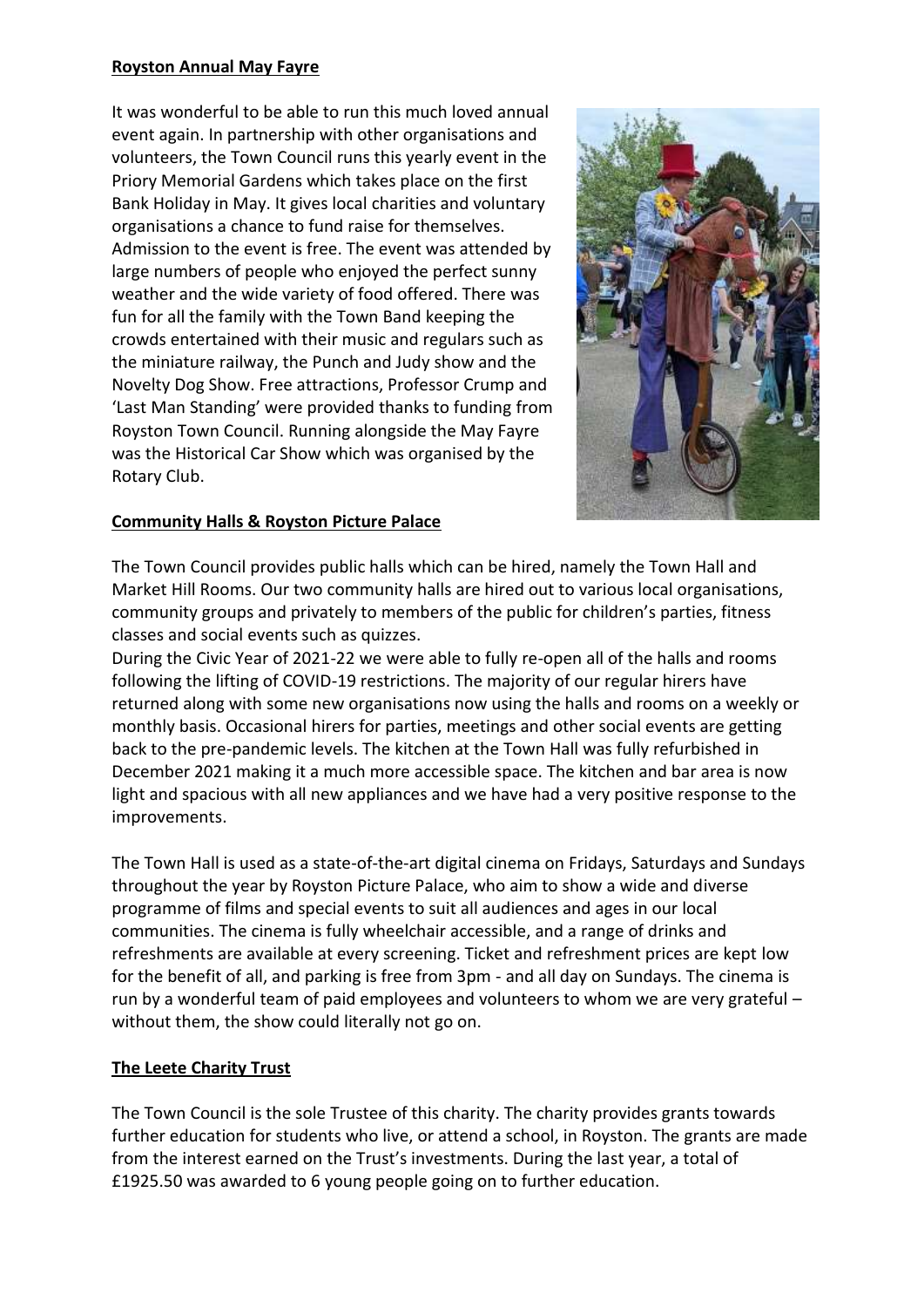# **Royston Annual May Fayre**

It was wonderful to be able to run this much loved annual event again. In partnership with other organisations and volunteers, the Town Council runs this yearly event in the Priory Memorial Gardens which takes place on the first Bank Holiday in May. It gives local charities and voluntary organisations a chance to fund raise for themselves. Admission to the event is free. The event was attended by large numbers of people who enjoyed the perfect sunny weather and the wide variety of food offered. There was fun for all the family with the Town Band keeping the crowds entertained with their music and regulars such as the miniature railway, the Punch and Judy show and the Novelty Dog Show. Free attractions, Professor Crump and 'Last Man Standing' were provided thanks to funding from Royston Town Council. Running alongside the May Fayre was the Historical Car Show which was organised by the Rotary Club.



# **Community Halls & Royston Picture Palace**

The Town Council provides public halls which can be hired, namely the Town Hall and Market Hill Rooms. Our two community halls are hired out to various local organisations, community groups and privately to members of the public for children's parties, fitness classes and social events such as quizzes.

During the Civic Year of 2021-22 we were able to fully re-open all of the halls and rooms following the lifting of COVID-19 restrictions. The majority of our regular hirers have returned along with some new organisations now using the halls and rooms on a weekly or monthly basis. Occasional hirers for parties, meetings and other social events are getting back to the pre-pandemic levels. The kitchen at the Town Hall was fully refurbished in December 2021 making it a much more accessible space. The kitchen and bar area is now light and spacious with all new appliances and we have had a very positive response to the improvements.

The Town Hall is used as a state-of-the-art digital cinema on Fridays, Saturdays and Sundays throughout the year by Royston Picture Palace, who aim to show a wide and diverse programme of films and special events to suit all audiences and ages in our local communities. The cinema is fully wheelchair accessible, and a range of drinks and refreshments are available at every screening. Ticket and refreshment prices are kept low for the benefit of all, and parking is free from 3pm - and all day on Sundays. The cinema is run by a wonderful team of paid employees and volunteers to whom we are very grateful – without them, the show could literally not go on.

# **The Leete Charity Trust**

The Town Council is the sole Trustee of this charity. The charity provides grants towards further education for students who live, or attend a school, in Royston. The grants are made from the interest earned on the Trust's investments. During the last year, a total of £1925.50 was awarded to 6 young people going on to further education.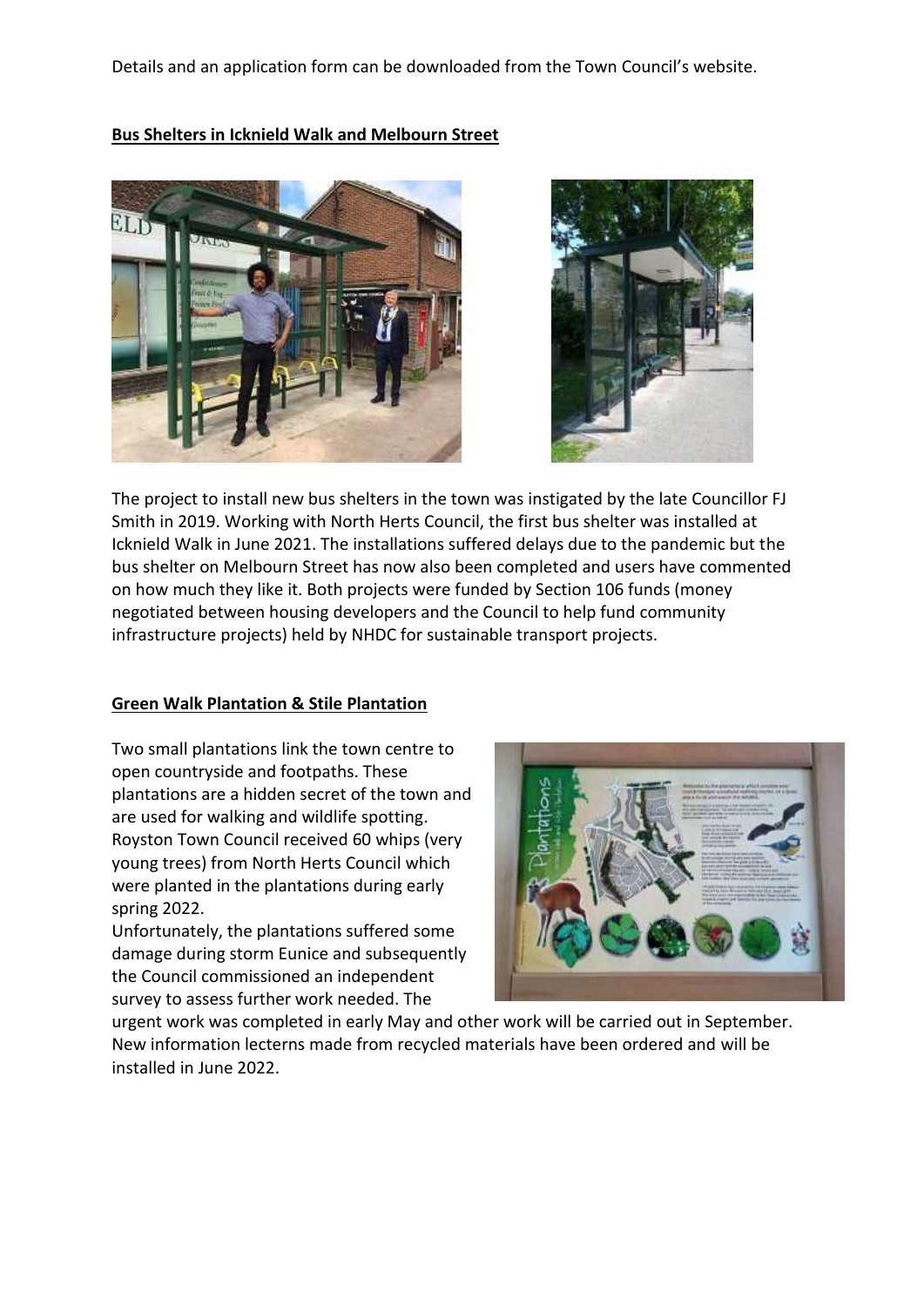Details and an application form can be downloaded from the Town Council's website.

# **Bus Shelters in Icknield Walk and Melbourn Street**





The project to install new bus shelters in the town was instigated by the late Councillor FJ Smith in 2019. Working with North Herts Council, the first bus shelter was installed at Icknield Walk in June 2021. The installations suffered delays due to the pandemic but the bus shelter on Melbourn Street has now also been completed and users have commented on how much they like it. Both projects were funded by Section 106 funds (money negotiated between housing developers and the Council to help fund community infrastructure projects) held by NHDC for sustainable transport projects.

#### **Green Walk Plantation & Stile Plantation**

Two small plantations link the town centre to open countryside and footpaths. These plantations are a hidden secret of the town and are used for walking and wildlife spotting. Royston Town Council received 60 whips (very young trees) from North Herts Council which were planted in the plantations during early spring 2022.

Unfortunately, the plantations suffered some damage during storm Eunice and subsequently the Council commissioned an independent survey to assess further work needed. The



urgent work was completed in early May and other work will be carried out in September. New information lecterns made from recycled materials have been ordered and will be installed in June 2022.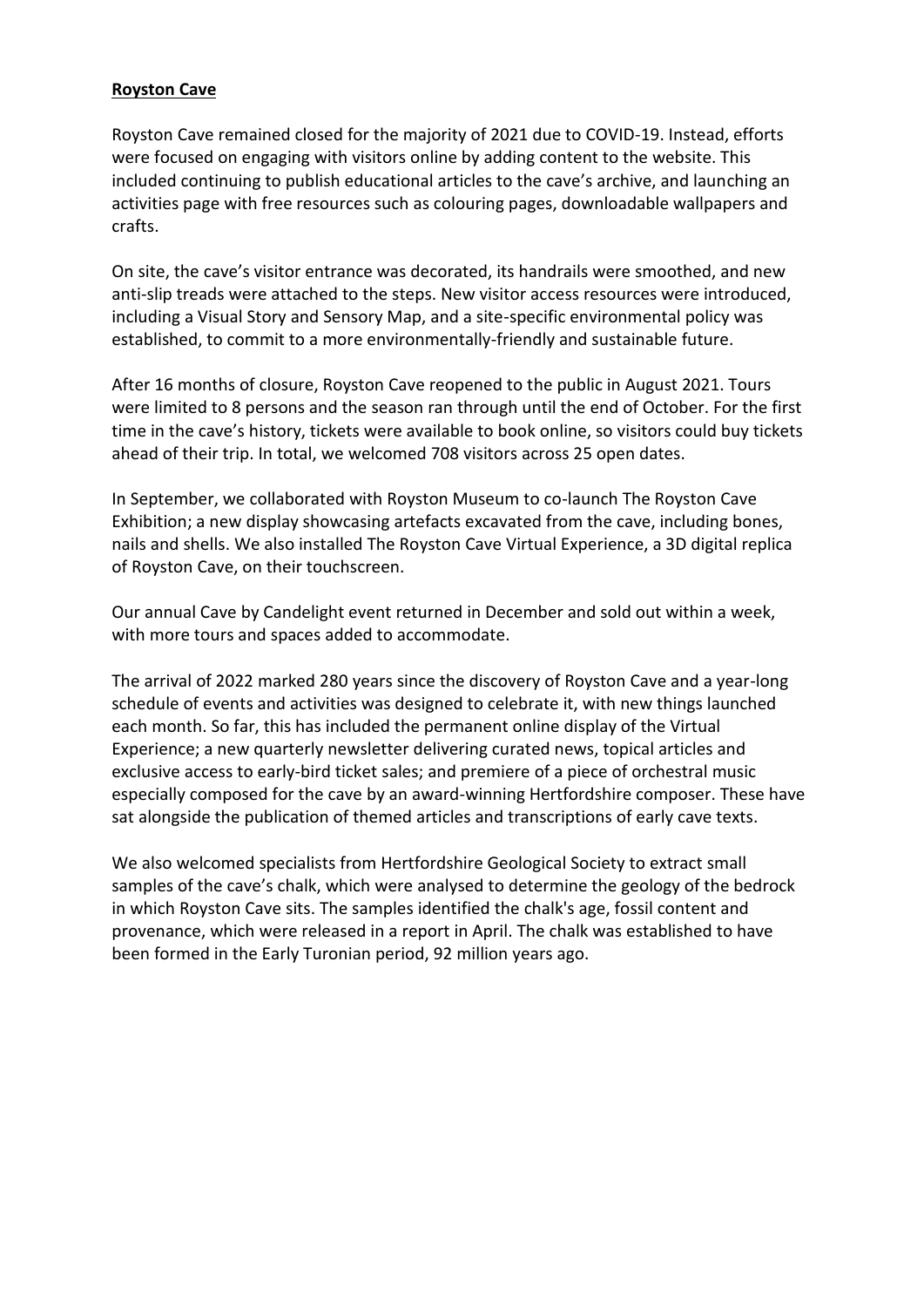## **Royston Cave**

Royston Cave remained closed for the majority of 2021 due to COVID-19. Instead, efforts were focused on engaging with visitors online by adding content to the website. This included continuing to publish educational articles to the cave's archive, and launching an activities page with free resources such as colouring pages, downloadable wallpapers and crafts.

On site, the cave's visitor entrance was decorated, its handrails were smoothed, and new anti-slip treads were attached to the steps. New visitor access resources were introduced, including a Visual Story and Sensory Map, and a site-specific environmental policy was established, to commit to a more environmentally-friendly and sustainable future.

After 16 months of closure, Royston Cave reopened to the public in August 2021. Tours were limited to 8 persons and the season ran through until the end of October. For the first time in the cave's history, tickets were available to book online, so visitors could buy tickets ahead of their trip. In total, we welcomed 708 visitors across 25 open dates.

In September, we collaborated with Royston Museum to co-launch The Royston Cave Exhibition; a new display showcasing artefacts excavated from the cave, including bones, nails and shells. We also installed The Royston Cave Virtual Experience, a 3D digital replica of Royston Cave, on their touchscreen.

Our annual Cave by Candelight event returned in December and sold out within a week, with more tours and spaces added to accommodate.

The arrival of 2022 marked 280 years since the discovery of Royston Cave and a year-long schedule of events and activities was designed to celebrate it, with new things launched each month. So far, this has included the permanent online display of the Virtual Experience; a new quarterly newsletter delivering curated news, topical articles and exclusive access to early-bird ticket sales; and premiere of a piece of orchestral music especially composed for the cave by an award-winning Hertfordshire composer. These have sat alongside the publication of themed articles and transcriptions of early cave texts.

We also welcomed specialists from Hertfordshire Geological Society to extract small samples of the cave's chalk, which were analysed to determine the geology of the bedrock in which Royston Cave sits. The samples identified the chalk's age, fossil content and provenance, which were released in a report in April. The chalk was established to have been formed in the Early Turonian period, 92 million years ago.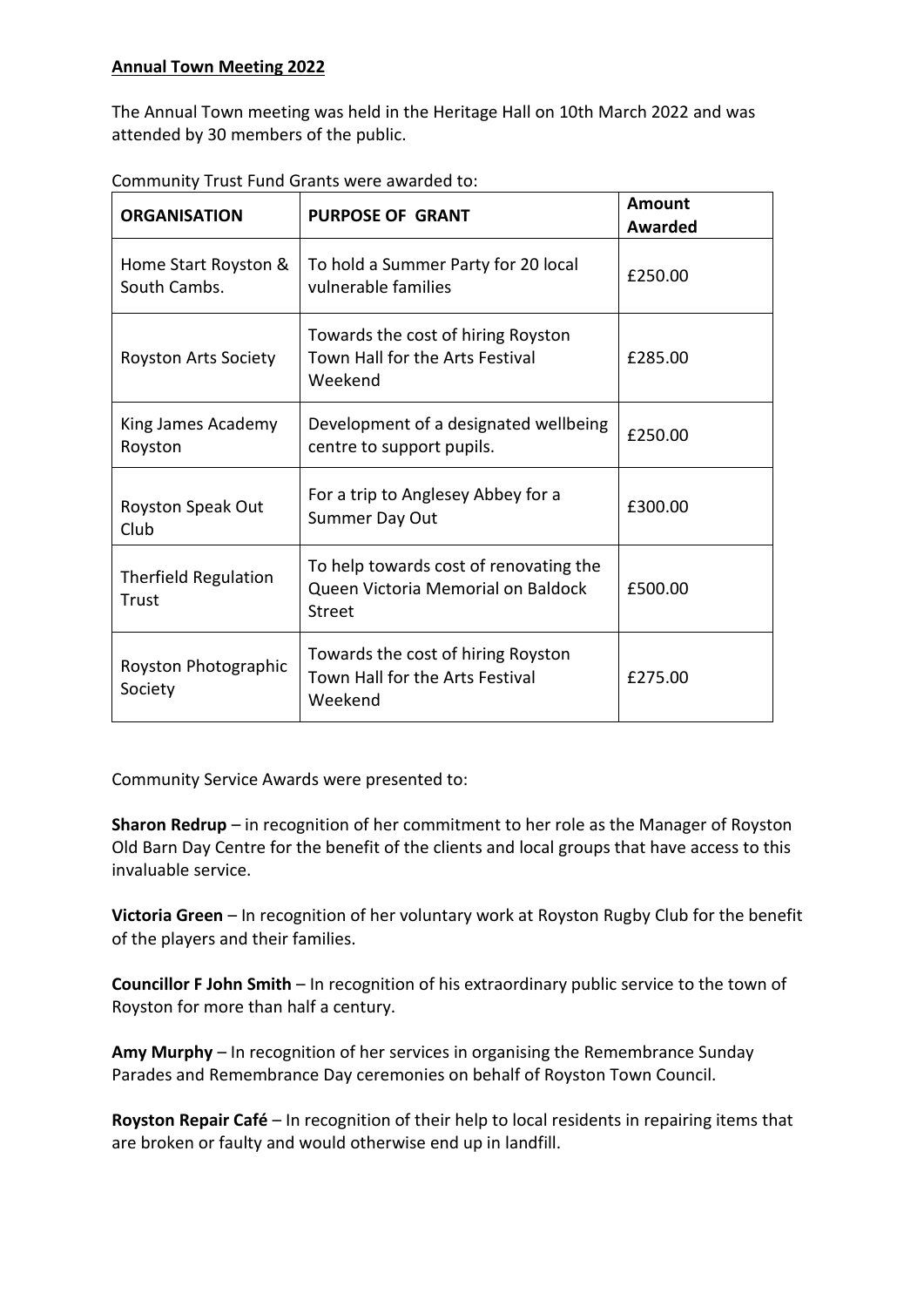The Annual Town meeting was held in the Heritage Hall on 10th March 2022 and was attended by 30 members of the public.

| <b>ORGANISATION</b>                  | <b>PURPOSE OF GRANT</b>                                                                | <b>Amount</b><br>Awarded |
|--------------------------------------|----------------------------------------------------------------------------------------|--------------------------|
| Home Start Royston &<br>South Cambs. | To hold a Summer Party for 20 local<br>vulnerable families                             | £250.00                  |
| <b>Royston Arts Society</b>          | Towards the cost of hiring Royston<br>Town Hall for the Arts Festival<br>Weekend       | £285.00                  |
| King James Academy<br>Royston        | Development of a designated wellbeing<br>centre to support pupils.                     | £250.00                  |
| Royston Speak Out<br>Club            | For a trip to Anglesey Abbey for a<br>Summer Day Out                                   | £300.00                  |
| <b>Therfield Regulation</b><br>Trust | To help towards cost of renovating the<br>Queen Victoria Memorial on Baldock<br>Street | £500.00                  |
| Royston Photographic<br>Society      | Towards the cost of hiring Royston<br>Town Hall for the Arts Festival<br>Weekend       | £275.00                  |

Community Trust Fund Grants were awarded to:

Community Service Awards were presented to:

**Sharon Redrup** – in recognition of her commitment to her role as the Manager of Royston Old Barn Day Centre for the benefit of the clients and local groups that have access to this invaluable service.

**Victoria Green** – In recognition of her voluntary work at Royston Rugby Club for the benefit of the players and their families.

**Councillor F John Smith** – In recognition of his extraordinary public service to the town of Royston for more than half a century.

**Amy Murphy** – In recognition of her services in organising the Remembrance Sunday Parades and Remembrance Day ceremonies on behalf of Royston Town Council.

**Royston Repair Café** – In recognition of their help to local residents in repairing items that are broken or faulty and would otherwise end up in landfill.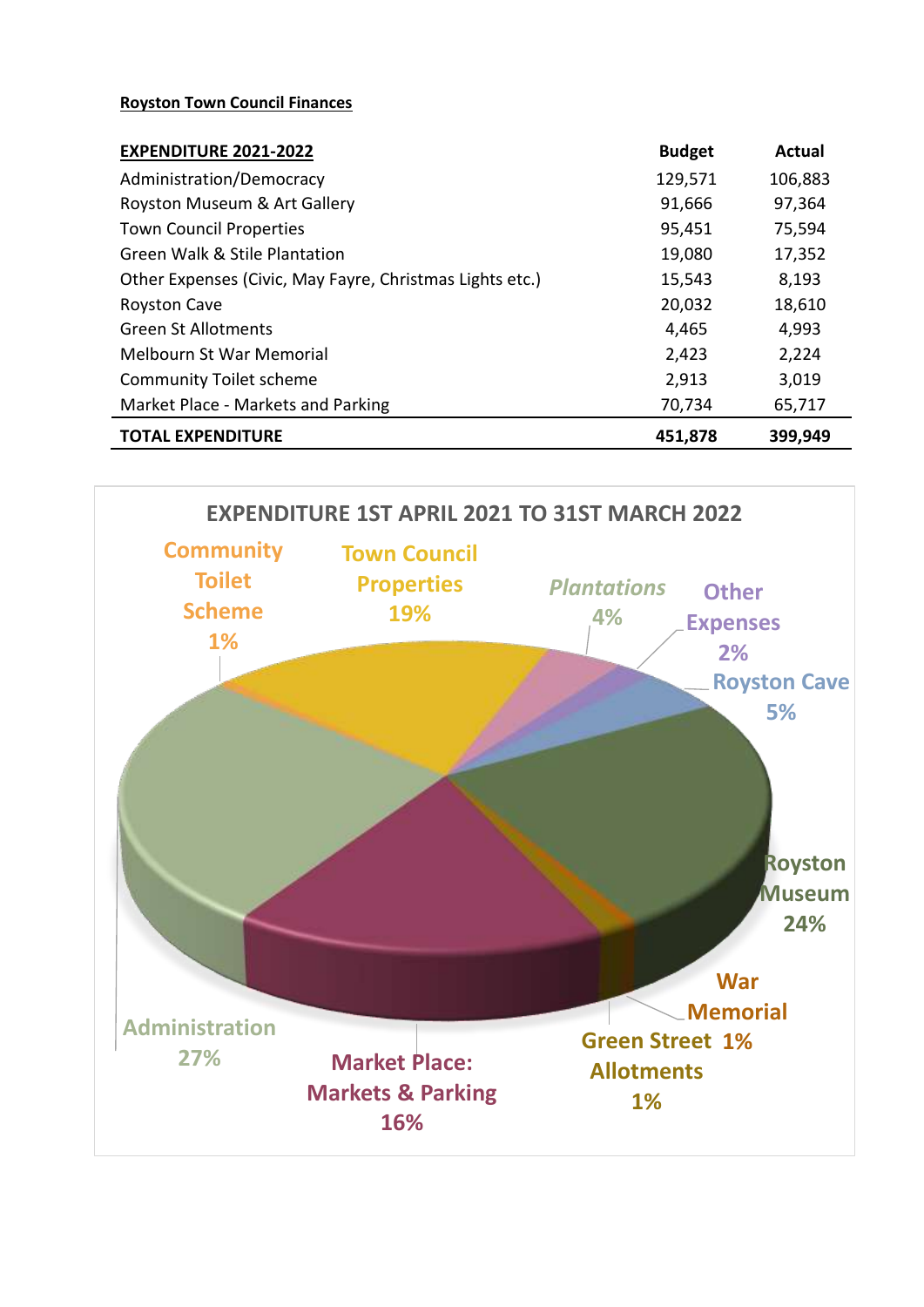## **Royston Town Council Finances**

| <b>EXPENDITURE 2021-2022</b>                             | <b>Budget</b> | <b>Actual</b> |
|----------------------------------------------------------|---------------|---------------|
| Administration/Democracy                                 | 129,571       | 106,883       |
| Royston Museum & Art Gallery                             | 91,666        | 97,364        |
| <b>Town Council Properties</b>                           | 95,451        | 75,594        |
| Green Walk & Stile Plantation                            | 19,080        | 17,352        |
| Other Expenses (Civic, May Fayre, Christmas Lights etc.) | 15,543        | 8,193         |
| <b>Royston Cave</b>                                      | 20,032        | 18,610        |
| <b>Green St Allotments</b>                               | 4,465         | 4,993         |
| <b>Melbourn St War Memorial</b>                          | 2,423         | 2,224         |
| <b>Community Toilet scheme</b>                           | 2,913         | 3,019         |
| Market Place - Markets and Parking                       | 70,734        | 65,717        |
| <b>TOTAL EXPENDITURE</b>                                 | 451,878       | 399,949       |

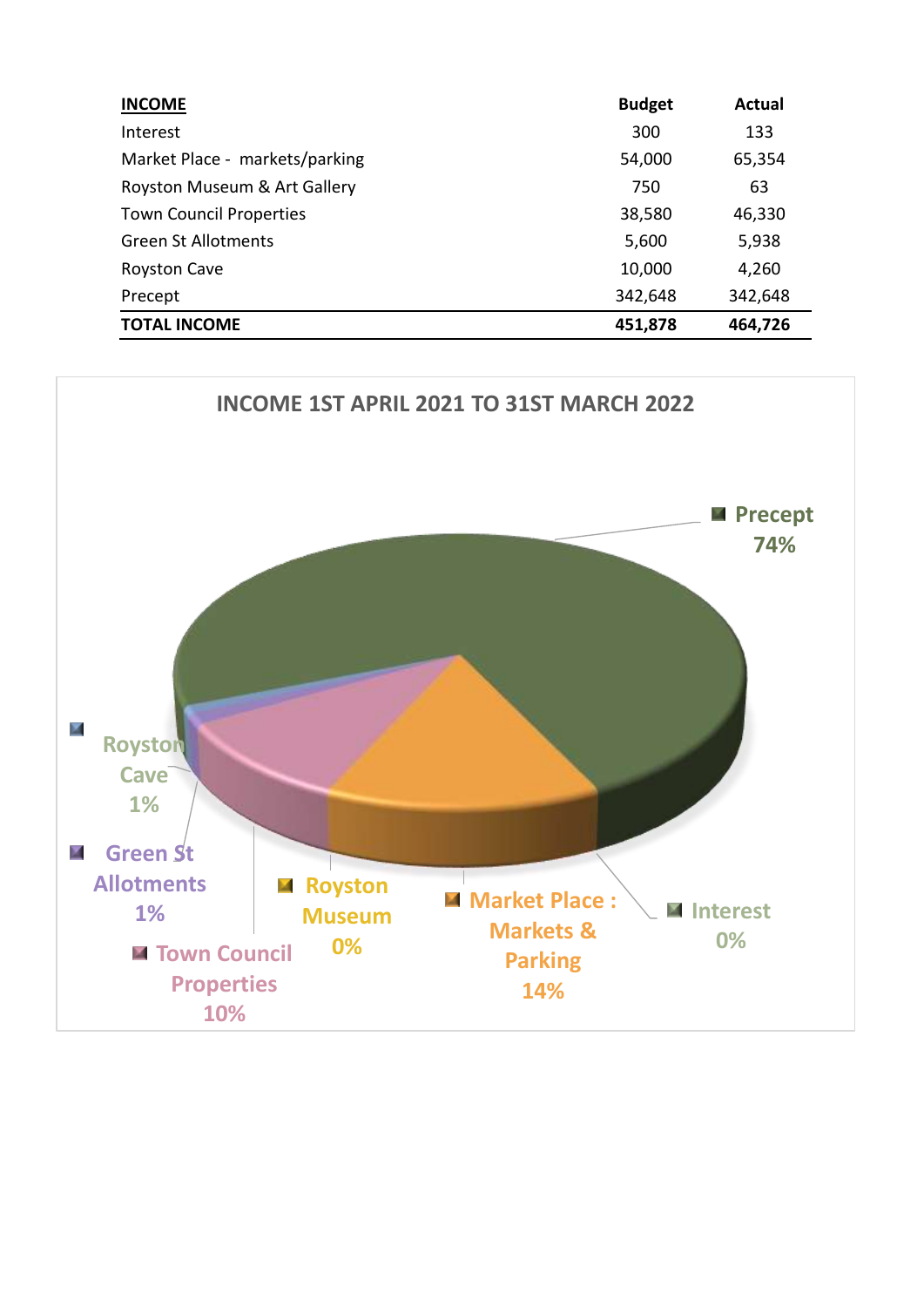| <b>INCOME</b>                  | <b>Budget</b> | Actual  |
|--------------------------------|---------------|---------|
| Interest                       | 300           | 133     |
| Market Place - markets/parking | 54,000        | 65,354  |
| Royston Museum & Art Gallery   | 750           | 63      |
| <b>Town Council Properties</b> | 38,580        | 46,330  |
| <b>Green St Allotments</b>     | 5,600         | 5,938   |
| <b>Royston Cave</b>            | 10,000        | 4,260   |
| Precept                        | 342,648       | 342,648 |
| <b>TOTAL INCOME</b>            | 451,878       | 464,726 |